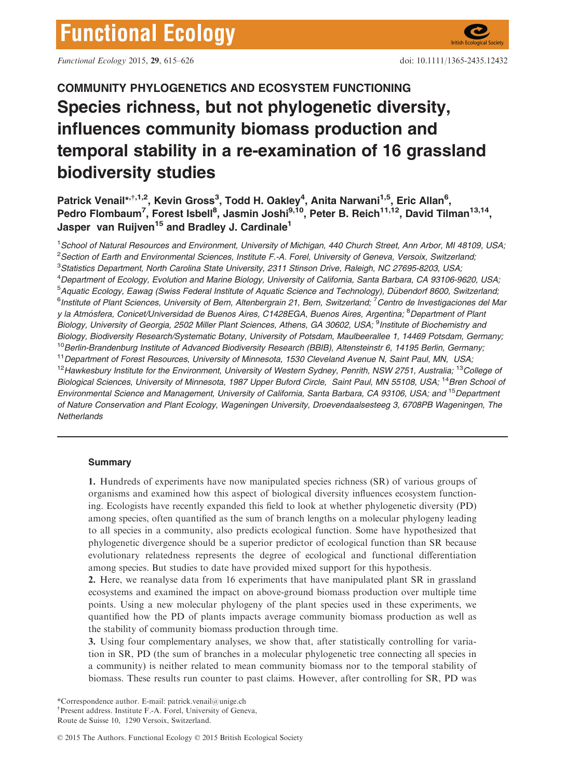# COMMUNITY PHYLOGENETICS AND ECOSYSTEM FUNCTIONING Species richness, but not phylogenetic diversity, influences community biomass production and temporal stability in a re-examination of 16 grassland biodiversity studies

Patrick Venail\*<sup>,†,1,2</sup>, Kevin Gross<sup>3</sup>, Todd H. Oakley<sup>4</sup>, Anita Narwani<sup>1,5</sup>, Eric Allan<sup>6</sup>, Pedro Flombaum<sup>7</sup>, Forest Isbell<sup>8</sup>, Jasmin Joshi<sup>9,10</sup>, Peter B. Reich<sup>11,12</sup>, David Tilman<sup>13,14</sup>, Jasper van Ruijven<sup>15</sup> and Bradley J. Cardinale<sup>1</sup>

<sup>1</sup> School of Natural Resources and Environment, University of Michigan, 440 Church Street, Ann Arbor, MI 48109, USA,

 $^2$ Section of Earth and Environmental Sciences, Institute F.-A. Forel, University of Geneva, Versoix, Switzerland,

<sup>3</sup>Statistics Department, North Carolina State University, 2311 Stinson Drive, Raleigh, NC 27695-8203, USA, 4 Department of Ecology, Evolution and Marine Biology, University of California, Santa Barbara, CA 93106-9620, USA; 5 Aquatic Ecology, Eawag (Swiss Federal Institute of Aquatic Science and Technology), Dübendorf 8600, Switzerland,  $^6$ Institute of Plant Sciences, University of Bern, Altenbergrain 21, Bern, Switzerland; <sup>7</sup>Centro de Investigaciones del Mai y la Atmósfera, Conicet/Universidad de Buenos Aires, C1428EGA, Buenos Aires, Argentina; <sup>8</sup>Department of Plani Biology, University of Georgia, 2502 Miller Plant Sciences, Athens, GA 30602, USA; <sup>9</sup>Institute of Biochemistry and Biology, Biodiversity Research/Systematic Botany, University of Potsdam, Maulbeerallee 1, 14469 Potsdam, Germany; <sup>10</sup>Berlin-Brandenburg Institute of Advanced Biodiversity Research (BBIB), Altensteinstr 6, 14195 Berlin, Germany; <sup>11</sup> Department of Forest Resources, University of Minnesota, 1530 Cleveland Avenue N, Saint Paul, MN, USA; <sup>12</sup> Hawkesbury Institute for the Environment, University of Western Sydney, Penrith, NSW 2751, Australia; <sup>13</sup>College of Biological Sciences, University of Minnesota, 1987 Upper Buford Circle, Saint Paul, MN 55108, USA; <sup>14</sup>Bren School of Environmental Science and Management, University of California, Santa Barbara, CA 93106, USA; and <sup>15</sup>Department of Nature Conservation and Plant Ecology, Wageningen University, Droevendaalsesteeg 3, 6708PB Wageningen, The **Netherlands** 

# **Summary**

1. Hundreds of experiments have now manipulated species richness (SR) of various groups of organisms and examined how this aspect of biological diversity influences ecosystem functioning. Ecologists have recently expanded this field to look at whether phylogenetic diversity (PD) among species, often quantified as the sum of branch lengths on a molecular phylogeny leading to all species in a community, also predicts ecological function. Some have hypothesized that phylogenetic divergence should be a superior predictor of ecological function than SR because evolutionary relatedness represents the degree of ecological and functional differentiation among species. But studies to date have provided mixed support for this hypothesis.

2. Here, we reanalyse data from 16 experiments that have manipulated plant SR in grassland ecosystems and examined the impact on above-ground biomass production over multiple time points. Using a new molecular phylogeny of the plant species used in these experiments, we quantified how the PD of plants impacts average community biomass production as well as the stability of community biomass production through time.

3. Using four complementary analyses, we show that, after statistically controlling for variation in SR, PD (the sum of branches in a molecular phylogenetic tree connecting all species in a community) is neither related to mean community biomass nor to the temporal stability of biomass. These results run counter to past claims. However, after controlling for SR, PD was

\*Correspondence author. E-mail: patrick.venail@unige.ch

† Present address. Institute F.-A. Forel, University of Geneva,

Route de Suisse 10, 1290 Versoix, Switzerland.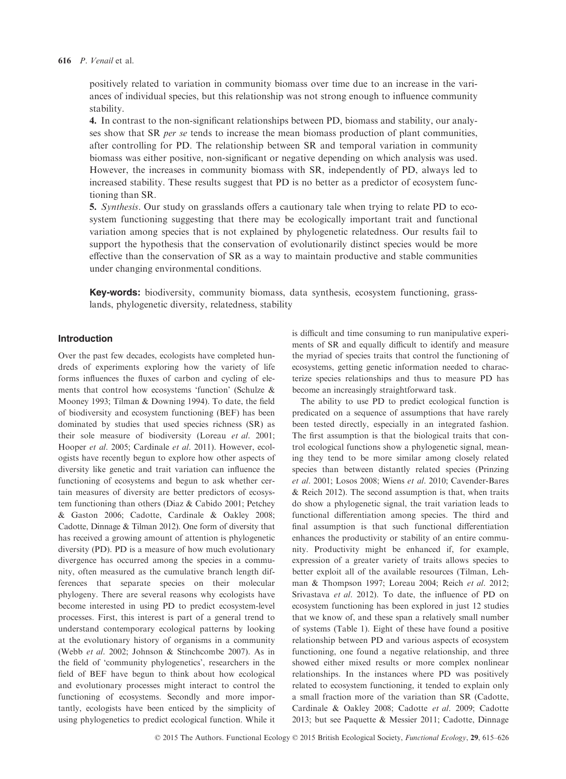# 616 P. Venail et al.

positively related to variation in community biomass over time due to an increase in the variances of individual species, but this relationship was not strong enough to influence community stability.

4. In contrast to the non-significant relationships between PD, biomass and stability, our analyses show that SR per se tends to increase the mean biomass production of plant communities, after controlling for PD. The relationship between SR and temporal variation in community biomass was either positive, non-significant or negative depending on which analysis was used. However, the increases in community biomass with SR, independently of PD, always led to increased stability. These results suggest that PD is no better as a predictor of ecosystem functioning than SR.

5. Synthesis. Our study on grasslands offers a cautionary tale when trying to relate PD to ecosystem functioning suggesting that there may be ecologically important trait and functional variation among species that is not explained by phylogenetic relatedness. Our results fail to support the hypothesis that the conservation of evolutionarily distinct species would be more effective than the conservation of SR as a way to maintain productive and stable communities under changing environmental conditions.

Key-words: biodiversity, community biomass, data synthesis, ecosystem functioning, grasslands, phylogenetic diversity, relatedness, stability

# Introduction

Over the past few decades, ecologists have completed hundreds of experiments exploring how the variety of life forms influences the fluxes of carbon and cycling of elements that control how ecosystems 'function' (Schulze & Mooney 1993; Tilman & Downing 1994). To date, the field of biodiversity and ecosystem functioning (BEF) has been dominated by studies that used species richness (SR) as their sole measure of biodiversity (Loreau et al. 2001; Hooper et al. 2005; Cardinale et al. 2011). However, ecologists have recently begun to explore how other aspects of diversity like genetic and trait variation can influence the functioning of ecosystems and begun to ask whether certain measures of diversity are better predictors of ecosystem functioning than others (Diaz & Cabido 2001; Petchey & Gaston 2006; Cadotte, Cardinale & Oakley 2008; Cadotte, Dinnage & Tilman 2012). One form of diversity that has received a growing amount of attention is phylogenetic diversity (PD). PD is a measure of how much evolutionary divergence has occurred among the species in a community, often measured as the cumulative branch length differences that separate species on their molecular phylogeny. There are several reasons why ecologists have become interested in using PD to predict ecosystem-level processes. First, this interest is part of a general trend to understand contemporary ecological patterns by looking at the evolutionary history of organisms in a community (Webb et al. 2002; Johnson & Stinchcombe 2007). As in the field of 'community phylogenetics', researchers in the field of BEF have begun to think about how ecological and evolutionary processes might interact to control the functioning of ecosystems. Secondly and more importantly, ecologists have been enticed by the simplicity of using phylogenetics to predict ecological function. While it

is difficult and time consuming to run manipulative experiments of SR and equally difficult to identify and measure the myriad of species traits that control the functioning of ecosystems, getting genetic information needed to characterize species relationships and thus to measure PD has become an increasingly straightforward task.

The ability to use PD to predict ecological function is predicated on a sequence of assumptions that have rarely been tested directly, especially in an integrated fashion. The first assumption is that the biological traits that control ecological functions show a phylogenetic signal, meaning they tend to be more similar among closely related species than between distantly related species (Prinzing et al. 2001; Losos 2008; Wiens et al. 2010; Cavender-Bares & Reich 2012). The second assumption is that, when traits do show a phylogenetic signal, the trait variation leads to functional differentiation among species. The third and final assumption is that such functional differentiation enhances the productivity or stability of an entire community. Productivity might be enhanced if, for example, expression of a greater variety of traits allows species to better exploit all of the available resources (Tilman, Lehman & Thompson 1997; Loreau 2004; Reich et al. 2012; Srivastava et al. 2012). To date, the influence of PD on ecosystem functioning has been explored in just 12 studies that we know of, and these span a relatively small number of systems (Table 1). Eight of these have found a positive relationship between PD and various aspects of ecosystem functioning, one found a negative relationship, and three showed either mixed results or more complex nonlinear relationships. In the instances where PD was positively related to ecosystem functioning, it tended to explain only a small fraction more of the variation than SR (Cadotte, Cardinale & Oakley 2008; Cadotte et al. 2009; Cadotte 2013; but see Paquette & Messier 2011; Cadotte, Dinnage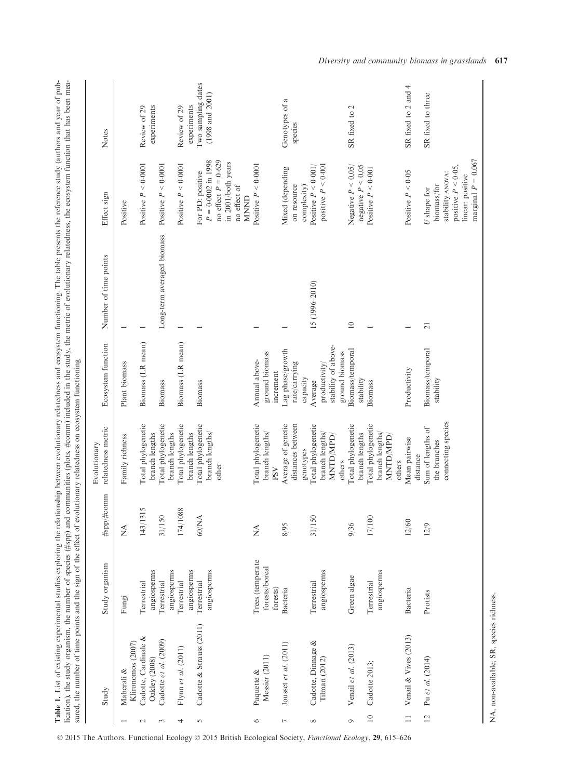|                 | sured, the number of time points and the sign of the effect of evolutionary relatedness on ecosystem functioning |                                                |                                           |                                                              |                                                                   |                            |                                                                                                    |                             |
|-----------------|------------------------------------------------------------------------------------------------------------------|------------------------------------------------|-------------------------------------------|--------------------------------------------------------------|-------------------------------------------------------------------|----------------------------|----------------------------------------------------------------------------------------------------|-----------------------------|
|                 | Study                                                                                                            | Study organism                                 | #spp/#comm                                | relatedness metric<br>Evolutionary                           | Ecosystem function                                                | Number of time points      | Effect sign                                                                                        | Notes                       |
|                 | Klironomos (2007)<br>Maherali &                                                                                  | Fungi                                          | $\stackrel{\triangle}{\scriptstyle\sf Z}$ | Family richness                                              | Plant biomass                                                     |                            | Positive                                                                                           |                             |
|                 | Cadotte, Cardinale &<br>Oakley (2008)                                                                            | angiosperms<br>Terrestrial                     | 143/1315                                  | Total phylogenetic<br>branch lengths                         | Biomass (LR mean)                                                 |                            | Positive $P < 0.0001$                                                                              | experiments<br>Review of 29 |
|                 | Cadotte et al. (2009)                                                                                            | angiosperms<br>Terrestrial                     | 31/150                                    | Total phylogenetic<br>branch lengths                         | Biomass                                                           | Long-term averaged biomass | Positive $P \leq 0.0001$                                                                           |                             |
| ᆉ               | Flynn et al. (2011)                                                                                              | angiosperms<br>Terrestrial                     | 174/1088                                  | Total phylogenetic<br>branch lengths                         | Biomass (LR mean)                                                 |                            | Positive $P \leq 0.0001$                                                                           | experiments<br>Review of 29 |
| 5               | Cadotte & Strauss (2011)                                                                                         | Terrestrial                                    | 60/NA                                     | Total phylogenetic                                           | Biomass                                                           |                            | For PD: positive                                                                                   | Two sampling dates          |
|                 |                                                                                                                  | angiosperms                                    |                                           | branch lengths<br>other                                      |                                                                   |                            | $P = 0.0002$ in 1998<br>no effect $P = 0.629$<br>in 2001/both years<br>no effect of<br><b>MNND</b> | $(1998$ and $2001$          |
|                 | Messier (2011)<br>Paquette &                                                                                     | Trees (temperate<br>forests/boreal<br>forests) | $\lessapprox$                             | Total phylogenetic<br>branch lengths/<br>PSV                 | ground biomass<br>Annual above-<br>increment                      |                            | Positive $P \leq 0.0001$                                                                           |                             |
|                 | Jousset et al. (2011)                                                                                            | Bacteria                                       | 8/95                                      | distances between<br>Average of genetic<br>genotypes         | Lag phase/growth<br>rate/carrying<br>capacity                     |                            | Mixed (depending<br>on resource<br>complexity)                                                     | Genotypes of a<br>species   |
| $\infty$        | Cadotte, Dinnage &<br>Tilman (2012)                                                                              | angiosperms<br>Terrestrial                     | 31/150                                    | Total phylogenetic<br>branch lengths<br>MNTD/MPD/<br>others  | stability of above-<br>ground biomass<br>productivity/<br>Average | 15 (1996-2010)             | positive $P < 0.001$<br>Positive $P \leq 0.001$                                                    |                             |
|                 | Venail et al. (2013)                                                                                             | Green algae                                    | 9/36                                      | Total phylogenetic<br>branch lengths                         | Biomass/temporal<br>stability                                     | $\supseteq$                | negative $P < 0.05$<br>Negative $P < 0.05$                                                         | SR fixed to 2               |
| $\overline{10}$ | Cadotte 2013;                                                                                                    | angiosperms<br>Terrestrial                     | 17/100                                    | Total phylogenetic<br>branch lengths/<br>MNTD/MPD/<br>others | Biomass                                                           |                            | Positive $P \leq 0.001$                                                                            |                             |
|                 | Venail & Vives (2013)                                                                                            | Bacteria                                       | 12/60                                     | Mean pairwise<br>distance                                    | Productivity                                                      |                            | Positive $P < 0.05$                                                                                | SR fixed to 2 and 4         |
| $\overline{12}$ | Pu et al. (2014)                                                                                                 | Protists                                       | 12/9                                      | connecting species<br>Sum of lengths of<br>the branches      | Biomass/temporal<br>stability                                     | $\overline{c}$             | positive $P < 0.05$ ,<br>stability ANOVA:<br>linear: positive<br>biomass/for<br>U shape for        | SR fixed to three           |

Table 1. List of existing experimental studies exploring the relationship between evolutionary relatedness and ecosystem functioning. The table presents the reference study (authors and year of publication), the study orga Table 1. List of existing experimental studies exploring the relationship between evolutionary relatedness and ecosystem functioning. The table presents the reference study (authors and year of publication), the study organism, the number of species (#spp) and communities (plots, #comm) included in the study, the metric of evolutionary relatedness, the ecosystem function that has been mea-

© 2015 The Authors. Functional Ecology © 2015 British Ecological Society, Functional Ecology, 29, 615–626

marginal P

 $P = 0.067$ 

NA, non-available; SR, species richness. NA, non-available; SR, species richness.

I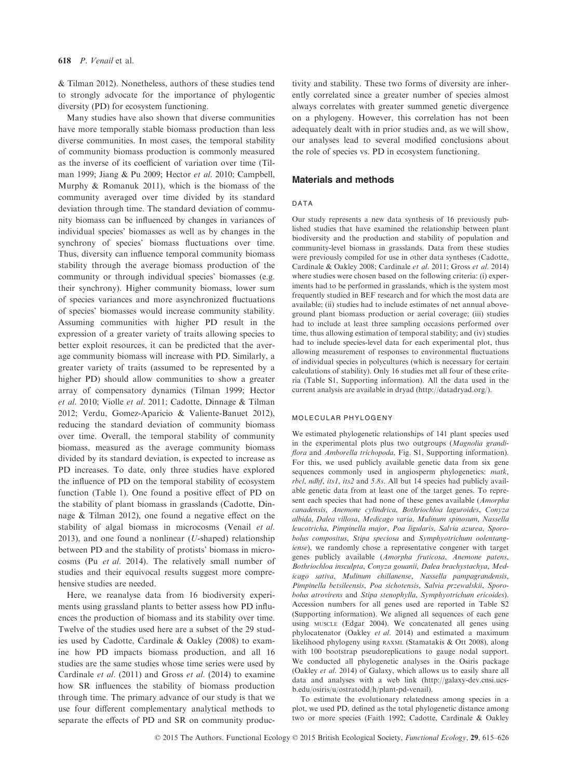& Tilman 2012). Nonetheless, authors of these studies tend to strongly advocate for the importance of phylogentic diversity (PD) for ecosystem functioning.

Many studies have also shown that diverse communities have more temporally stable biomass production than less diverse communities. In most cases, the temporal stability of community biomass production is commonly measured as the inverse of its coefficient of variation over time (Tilman 1999; Jiang & Pu 2009; Hector et al. 2010; Campbell, Murphy & Romanuk 2011), which is the biomass of the community averaged over time divided by its standard deviation through time. The standard deviation of community biomass can be influenced by changes in variances of individual species' biomasses as well as by changes in the synchrony of species' biomass fluctuations over time. Thus, diversity can influence temporal community biomass stability through the average biomass production of the community or through individual species' biomasses (e.g. their synchrony). Higher community biomass, lower sum of species variances and more asynchronized fluctuations of species' biomasses would increase community stability. Assuming communities with higher PD result in the expression of a greater variety of traits allowing species to better exploit resources, it can be predicted that the average community biomass will increase with PD. Similarly, a greater variety of traits (assumed to be represented by a higher PD) should allow communities to show a greater array of compensatory dynamics (Tilman 1999; Hector et al. 2010; Violle et al. 2011; Cadotte, Dinnage & Tilman 2012; Verdu, Gomez-Aparicio & Valiente-Banuet 2012), reducing the standard deviation of community biomass over time. Overall, the temporal stability of community biomass, measured as the average community biomass divided by its standard deviation, is expected to increase as PD increases. To date, only three studies have explored the influence of PD on the temporal stability of ecosystem function (Table 1). One found a positive effect of PD on the stability of plant biomass in grasslands (Cadotte, Dinnage & Tilman 2012), one found a negative effect on the stability of algal biomass in microcosms (Venail et al.  $2013$ ), and one found a nonlinear (*U*-shaped) relationship between PD and the stability of protists' biomass in microcosms (Pu et al. 2014). The relatively small number of studies and their equivocal results suggest more comprehensive studies are needed.

Here, we reanalyse data from 16 biodiversity experiments using grassland plants to better assess how PD influences the production of biomass and its stability over time. Twelve of the studies used here are a subset of the 29 studies used by Cadotte, Cardinale & Oakley (2008) to examine how PD impacts biomass production, and all 16 studies are the same studies whose time series were used by Cardinale et al. (2011) and Gross et al. (2014) to examine how SR influences the stability of biomass production through time. The primary advance of our study is that we use four different complementary analytical methods to separate the effects of PD and SR on community productivity and stability. These two forms of diversity are inherently correlated since a greater number of species almost always correlates with greater summed genetic divergence on a phylogeny. However, this correlation has not been adequately dealt with in prior studies and, as we will show, our analyses lead to several modified conclusions about the role of species vs. PD in ecosystem functioning.

# Materials and methods

#### DATA

Our study represents a new data synthesis of 16 previously published studies that have examined the relationship between plant biodiversity and the production and stability of population and community-level biomass in grasslands. Data from these studies were previously compiled for use in other data syntheses (Cadotte, Cardinale & Oakley 2008; Cardinale et al. 2011; Gross et al. 2014) where studies were chosen based on the following criteria: (i) experiments had to be performed in grasslands, which is the system most frequently studied in BEF research and for which the most data are available; (ii) studies had to include estimates of net annual aboveground plant biomass production or aerial coverage; (iii) studies had to include at least three sampling occasions performed over time, thus allowing estimation of temporal stability; and (iv) studies had to include species-level data for each experimental plot, thus allowing measurement of responses to environmental fluctuations of individual species in polycultures (which is necessary for certain calculations of stability). Only 16 studies met all four of these criteria (Table S1, Supporting information). All the data used in the current analysis are available in dryad [\(http://datadryad.org/\)](http://datadryad.org/).

#### MOLECULAR PHYLOGENY

We estimated phylogenetic relationships of 141 plant species used in the experimental plots plus two outgroups (Magnolia grandiflora and Amborella trichopoda, Fig. S1, Supporting information). For this, we used publicly available genetic data from six gene sequences commonly used in angiosperm phylogenetics: matk, rbcl, ndhf, its1, its2 and 5.8s. All but 14 species had publicly available genetic data from at least one of the target genes. To represent each species that had none of these genes available (Amorpha canadensis, Anemone cylindrica, Bothriochloa laguroides, Conyza albida, Dalea villosa, Medicago varia, Mulinum spinosum, Nassella leucotricha, Pimpinella major, Poa ligularis, Salvia azurea, Sporobolus compositus, Stipa speciosa and Symphyotrichum oolentangiense), we randomly chose a representative congener with target genes publicly available (Amorpha fruticosa, Anemone patens, Bothriochloa insculpta, Conyza gouanii, Dalea brachystachya, Medicago sativa, Mulinum chillanense, Nassella pampagrandensis, Pimpinella betsileensis, Poa sichotensis, Salvia przewalskii, Sporobolus atrovirens and Stipa stenophylla, Symphyotrichum ericoides). Accession numbers for all genes used are reported in Table S2 (Supporting information). We aligned all sequences of each gene using MUSCLE (Edgar 2004). We concatenated all genes using phylocatenator (Oakley et al. 2014) and estimated a maximum likelihood phylogeny using RAXML (Stamatakis & Ott 2008), along with 100 bootstrap pseudoreplications to gauge nodal support. We conducted all phylogenetic analyses in the Osiris package (Oakley et al. 2014) of Galaxy, which allows us to easily share all data and analyses with a web link [\(http://galaxy-dev.cnsi.ucs](http://galaxy-dev.cnsi.ucsb.edu/osiris/u/ostratodd/h/plant-pd-venail)[b.edu/osiris/u/ostratodd/h/plant-pd-venail\)](http://galaxy-dev.cnsi.ucsb.edu/osiris/u/ostratodd/h/plant-pd-venail).

To estimate the evolutionary relatedness among species in a plot, we used PD, defined as the total phylogenetic distance among two or more species (Faith 1992; Cadotte, Cardinale & Oakley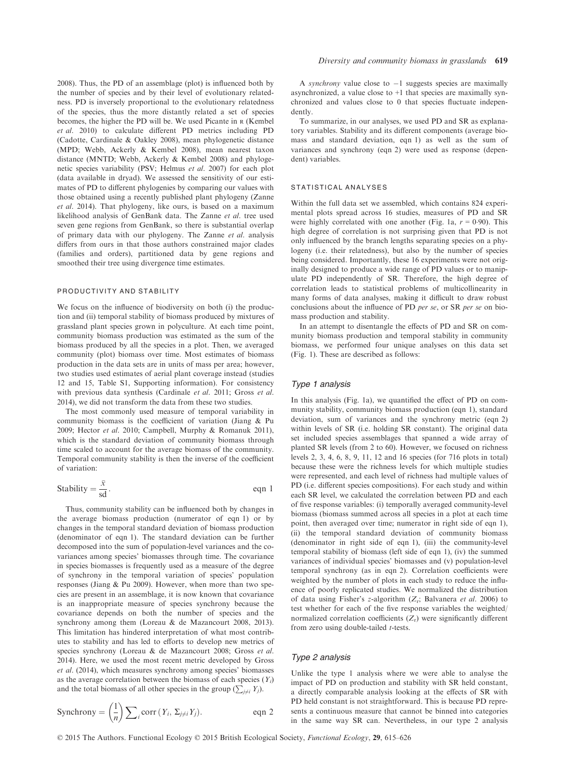2008). Thus, the PD of an assemblage (plot) is influenced both by the number of species and by their level of evolutionary relatedness. PD is inversely proportional to the evolutionary relatedness of the species, thus the more distantly related a set of species becomes, the higher the PD will be. We used Picante in <sup>R</sup> (Kembel et al. 2010) to calculate different PD metrics including PD (Cadotte, Cardinale & Oakley 2008), mean phylogenetic distance (MPD; Webb, Ackerly & Kembel 2008), mean nearest taxon distance (MNTD; Webb, Ackerly & Kembel 2008) and phylogenetic species variability (PSV; Helmus et al. 2007) for each plot (data available in dryad). We assessed the sensitivity of our estimates of PD to different phylogenies by comparing our values with those obtained using a recently published plant phylogeny (Zanne et al. 2014). That phylogeny, like ours, is based on a maximum likelihood analysis of GenBank data. The Zanne et al. tree used seven gene regions from GenBank, so there is substantial overlap of primary data with our phylogeny. The Zanne et al. analysis differs from ours in that those authors constrained major clades (families and orders), partitioned data by gene regions and smoothed their tree using divergence time estimates.

#### PRODUCTIVITY AND STABILITY

We focus on the influence of biodiversity on both (i) the production and (ii) temporal stability of biomass produced by mixtures of grassland plant species grown in polyculture. At each time point, community biomass production was estimated as the sum of the biomass produced by all the species in a plot. Then, we averaged community (plot) biomass over time. Most estimates of biomass production in the data sets are in units of mass per area; however, two studies used estimates of aerial plant coverage instead (studies 12 and 15, Table S1, Supporting information). For consistency with previous data synthesis (Cardinale et al. 2011; Gross et al. 2014), we did not transform the data from these two studies.

The most commonly used measure of temporal variability in community biomass is the coefficient of variation (Jiang & Pu 2009; Hector et al. 2010; Campbell, Murphy & Romanuk 2011), which is the standard deviation of community biomass through time scaled to account for the average biomass of the community. Temporal community stability is then the inverse of the coefficient of variation:

Stability = 
$$
\frac{\bar{x}}{sd}
$$
. eqn 1

Thus, community stability can be influenced both by changes in the average biomass production (numerator of eqn 1) or by changes in the temporal standard deviation of biomass production (denominator of eqn 1). The standard deviation can be further decomposed into the sum of population-level variances and the covariances among species' biomasses through time. The covariance in species biomasses is frequently used as a measure of the degree of synchrony in the temporal variation of species' population responses (Jiang & Pu 2009). However, when more than two species are present in an assemblage, it is now known that covariance is an inappropriate measure of species synchrony because the covariance depends on both the number of species and the synchrony among them (Loreau & de Mazancourt 2008, 2013). This limitation has hindered interpretation of what most contributes to stability and has led to efforts to develop new metrics of species synchrony (Loreau & de Mazancourt 2008; Gross et al. 2014). Here, we used the most recent metric developed by Gross et al. (2014), which measures synchrony among species' biomasses as the average correlation between the biomass of each species  $(Y_i)$ and the total biomass of all other species in the group  $(\sum_{j \neq i} Y_j)$ .

$$
Synchronous = \left(\frac{1}{n}\right) \sum_{i} corr(Y_i, \Sigma_{j \neq i} Y_j).
$$
eqn 2

A synchrony value close to  $-1$  suggests species are maximally asynchronized, a value close to +1 that species are maximally synchronized and values close to 0 that species fluctuate independently.

To summarize, in our analyses, we used PD and SR as explanatory variables. Stability and its different components (average biomass and standard deviation, eqn 1) as well as the sum of variances and synchrony (eqn 2) were used as response (dependent) variables.

## STATISTICAL ANALYSES

Within the full data set we assembled, which contains 824 experimental plots spread across 16 studies, measures of PD and SR were highly correlated with one another (Fig. 1a,  $r = 0.90$ ). This high degree of correlation is not surprising given that PD is not only influenced by the branch lengths separating species on a phylogeny (i.e. their relatedness), but also by the number of species being considered. Importantly, these 16 experiments were not originally designed to produce a wide range of PD values or to manipulate PD independently of SR. Therefore, the high degree of correlation leads to statistical problems of multicollinearity in many forms of data analyses, making it difficult to draw robust conclusions about the influence of PD per se, or SR per se on biomass production and stability.

In an attempt to disentangle the effects of PD and SR on community biomass production and temporal stability in community biomass, we performed four unique analyses on this data set (Fig. 1). These are described as follows:

# Type 1 analysis

In this analysis (Fig. 1a), we quantified the effect of PD on community stability, community biomass production (eqn 1), standard deviation, sum of variances and the synchrony metric (eqn 2) within levels of SR (i.e. holding SR constant). The original data set included species assemblages that spanned a wide array of planted SR levels (from 2 to 60). However, we focused on richness levels 2, 3, 4, 6, 8, 9, 11, 12 and 16 species (for 716 plots in total) because these were the richness levels for which multiple studies were represented, and each level of richness had multiple values of PD (i.e. different species compositions). For each study and within each SR level, we calculated the correlation between PD and each of five response variables: (i) temporally averaged community-level biomass (biomass summed across all species in a plot at each time point, then averaged over time; numerator in right side of eqn 1), (ii) the temporal standard deviation of community biomass (denominator in right side of eqn 1), (iii) the community-level temporal stability of biomass (left side of eqn 1), (iv) the summed variances of individual species' biomasses and (v) population-level temporal synchrony (as in eqn 2). Correlation coefficients were weighted by the number of plots in each study to reduce the influence of poorly replicated studies. We normalized the distribution of data using Fisher's z-algorithm  $(Z_r;$  Balvanera et al. 2006) to test whether for each of the five response variables the weighted/ normalized correlation coefficients  $(Z_r)$  were significantly different from zero using double-tailed  $t$ -tests.

## Type 2 analysis

Unlike the type 1 analysis where we were able to analyse the impact of PD on production and stability with SR held constant, a directly comparable analysis looking at the effects of SR with PD held constant is not straightforward. This is because PD represents a continuous measure that cannot be binned into categories in the same way SR can. Nevertheless, in our type 2 analysis

© 2015 The Authors. Functional Ecology © 2015 British Ecological Society, Functional Ecology, 29, 615–626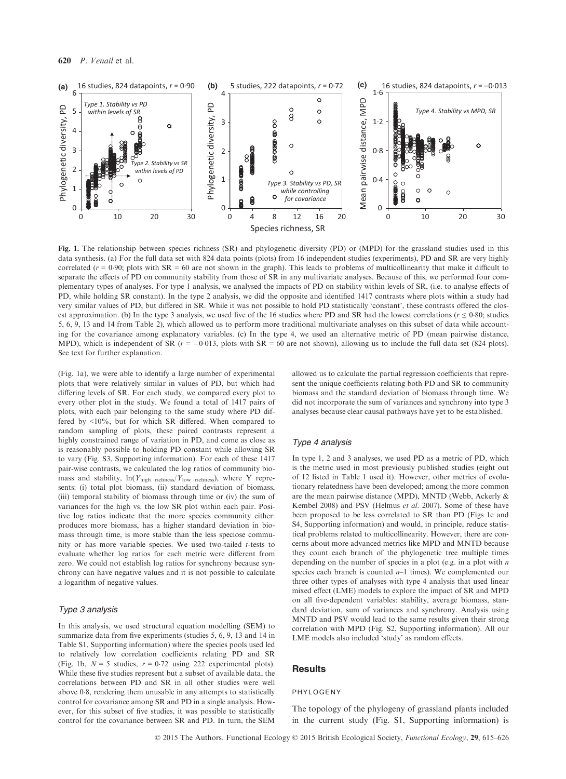

Fig. 1. The relationship between species richness (SR) and phylogenetic diversity (PD) or (MPD) for the grassland studies used in this data synthesis. (a) For the full data set with 824 data points (plots) from 16 independent studies (experiments), PD and SR are very highly correlated  $(r = 0.90$ ; plots with SR = 60 are not shown in the graph). This leads to problems of multicollinearity that make it difficult to separate the effects of PD on community stability from those of SR in any multivariate analyses. Because of this, we performed four complementary types of analyses. For type 1 analysis, we analysed the impacts of PD on stability within levels of SR, (i.e. to analyse effects of PD, while holding SR constant). In the type 2 analysis, we did the opposite and identified 1417 contrasts where plots within a study had very similar values of PD, but differed in SR. While it was not possible to hold PD statistically 'constant', these contrasts offered the closest approximation. (b) In the type 3 analysis, we used five of the 16 studies where PD and SR had the lowest correlations ( $r \le 0.80$ ; studies 5, 6, 9, 13 and 14 from Table 2), which allowed us to perform more traditional multivariate analyses on this subset of data while accounting for the covariance among explanatory variables. (c) In the type 4, we used an alternative metric of PD (mean pairwise distance, MPD), which is independent of SR  $(r = -0.013$ , plots with SR = 60 are not shown), allowing us to include the full data set (824 plots). See text for further explanation.

(Fig. 1a), we were able to identify a large number of experimental plots that were relatively similar in values of PD, but which had differing levels of SR. For each study, we compared every plot to every other plot in the study. We found a total of 1417 pairs of plots, with each pair belonging to the same study where PD differed by <10%, but for which SR differed. When compared to random sampling of plots, these paired contrasts represent a highly constrained range of variation in PD, and come as close as is reasonably possible to holding PD constant while allowing SR to vary (Fig. S3, Supporting information). For each of these 1417 pair-wise contrasts, we calculated the log ratios of community biomass and stability,  $ln(Y_{high\text{ richness}}/Y_{low\text{ richness}})$ , where Y represents: (i) total plot biomass, (ii) standard deviation of biomass, (iii) temporal stability of biomass through time or (iv) the sum of variances for the high vs. the low SR plot within each pair. Positive log ratios indicate that the more species community either: produces more biomass, has a higher standard deviation in biomass through time, is more stable than the less speciose community or has more variable species. We used two-tailed t-tests to evaluate whether log ratios for each metric were different from zero. We could not establish log ratios for synchrony because synchrony can have negative values and it is not possible to calculate a logarithm of negative values.

#### Type 3 analysis

In this analysis, we used structural equation modelling (SEM) to summarize data from five experiments (studies 5, 6, 9, 13 and 14 in Table S1, Supporting information) where the species pools used led to relatively low correlation coefficients relating PD and SR (Fig. 1b,  $N = 5$  studies,  $r = 0.72$  using 222 experimental plots). While these five studies represent but a subset of available data, the correlations between PD and SR in all other studies were well above 0.8, rendering them unusable in any attempts to statistically control for covariance among SR and PD in a single analysis. However, for this subset of five studies, it was possible to statistically control for the covariance between SR and PD. In turn, the SEM allowed us to calculate the partial regression coefficients that represent the unique coefficients relating both PD and SR to community biomass and the standard deviation of biomass through time. We did not incorporate the sum of variances and synchrony into type 3 analyses because clear causal pathways have yet to be established.

## Type 4 analysis

In type 1, 2 and 3 analyses, we used PD as a metric of PD, which is the metric used in most previously published studies (eight out of 12 listed in Table 1 used it). However, other metrics of evolutionary relatedness have been developed; among the more common are the mean pairwise distance (MPD), MNTD (Webb, Ackerly & Kembel 2008) and PSV (Helmus et al. 2007). Some of these have been proposed to be less correlated to SR than PD (Figs 1c and S4, Supporting information) and would, in principle, reduce statistical problems related to multicollinearity. However, there are concerns about more advanced metrics like MPD and MNTD because they count each branch of the phylogenetic tree multiple times depending on the number of species in a plot (e.g. in a plot with  $n$ species each branch is counted  $n-1$  times). We complemented our three other types of analyses with type 4 analysis that used linear mixed effect (LME) models to explore the impact of SR and MPD on all five-dependent variables: stability, average biomass, standard deviation, sum of variances and synchrony. Analysis using MNTD and PSV would lead to the same results given their strong correlation with MPD (Fig. S2, Supporting information). All our LME models also included 'study' as random effects.

# **Results**

#### PHYLOGENY

The topology of the phylogeny of grassland plants included in the current study (Fig. S1, Supporting information) is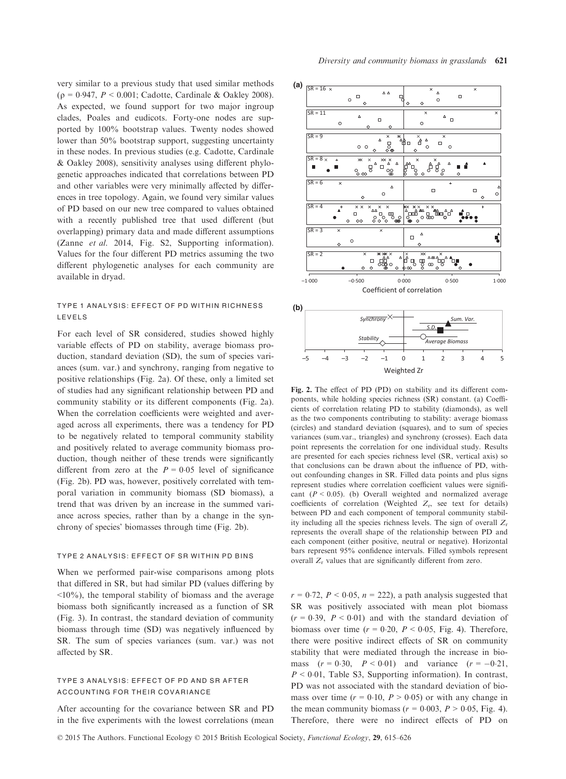very similar to a previous study that used similar methods  $(p = 0.947, P < 0.001$ ; Cadotte, Cardinale & Oakley 2008). As expected, we found support for two major ingroup clades, Poales and eudicots. Forty-one nodes are supported by 100% bootstrap values. Twenty nodes showed lower than 50% bootstrap support, suggesting uncertainty in these nodes. In previous studies (e.g. Cadotte, Cardinale & Oakley 2008), sensitivity analyses using different phylogenetic approaches indicated that correlations between PD and other variables were very minimally affected by differences in tree topology. Again, we found very similar values of PD based on our new tree compared to values obtained with a recently published tree that used different (but overlapping) primary data and made different assumptions (Zanne et al. 2014, Fig. S2, Supporting information). Values for the four different PD metrics assuming the two different phylogenetic analyses for each community are available in dryad.

# TYPE 1 ANALYSIS: EFFECT OF PD WITHIN RICHNESS LEVELS

For each level of SR considered, studies showed highly variable effects of PD on stability, average biomass production, standard deviation (SD), the sum of species variances (sum. var.) and synchrony, ranging from negative to positive relationships (Fig. 2a). Of these, only a limited set of studies had any significant relationship between PD and community stability or its different components (Fig. 2a). When the correlation coefficients were weighted and averaged across all experiments, there was a tendency for PD to be negatively related to temporal community stability and positively related to average community biomass production, though neither of these trends were significantly different from zero at the  $P = 0.05$  level of significance (Fig. 2b). PD was, however, positively correlated with temporal variation in community biomass (SD biomass), a trend that was driven by an increase in the summed variance across species, rather than by a change in the synchrony of species' biomasses through time (Fig. 2b).

#### TYPE 2 ANALYSIS: EFFECT OF SR WITHIN PD BINS

When we performed pair-wise comparisons among plots that differed in SR, but had similar PD (values differing by  $\langle 10\%$ ), the temporal stability of biomass and the average biomass both significantly increased as a function of SR (Fig. 3). In contrast, the standard deviation of community biomass through time (SD) was negatively influenced by SR. The sum of species variances (sum. var.) was not affected by SR.

# TYPE 3 ANALYSIS: EFFECT OF PD AND SR AFTER ACCOUNTING FOR THEIR COVARIANCE

After accounting for the covariance between SR and PD in the five experiments with the lowest correlations (mean

**(a)**



Fig. 2. The effect of PD (PD) on stability and its different components, while holding species richness (SR) constant. (a) Coefficients of correlation relating PD to stability (diamonds), as well as the two components contributing to stability: average biomass (circles) and standard deviation (squares), and to sum of species variances (sum.var., triangles) and synchrony (crosses). Each data point represents the correlation for one individual study. Results are presented for each species richness level (SR, vertical axis) so that conclusions can be drawn about the influence of PD, without confounding changes in SR. Filled data points and plus signs represent studies where correlation coefficient values were significant  $(P < 0.05)$ . (b) Overall weighted and normalized average coefficients of correlation (Weighted  $Z_r$ , see text for details) between PD and each component of temporal community stability including all the species richness levels. The sign of overall  $Z_r$ represents the overall shape of the relationship between PD and each component (either positive, neutral or negative). Horizontal bars represent 95% confidence intervals. Filled symbols represent overall  $Z_r$  values that are significantly different from zero.

Weighted Zr

 $r = 0.72$ ,  $P < 0.05$ ,  $n = 222$ ), a path analysis suggested that SR was positively associated with mean plot biomass  $(r = 0.39, P < 0.01)$  and with the standard deviation of biomass over time  $(r = 0.20, P < 0.05,$  Fig. 4). Therefore, there were positive indirect effects of SR on community stability that were mediated through the increase in biomass  $(r = 0.30, P < 0.01)$  and variance  $(r = -0.21,$  $P < 0.01$ , Table S3, Supporting information). In contrast, PD was not associated with the standard deviation of biomass over time  $(r = 0.10, P > 0.05)$  or with any change in the mean community biomass ( $r = 0.003$ ,  $P > 0.05$ , Fig. 4). Therefore, there were no indirect effects of PD on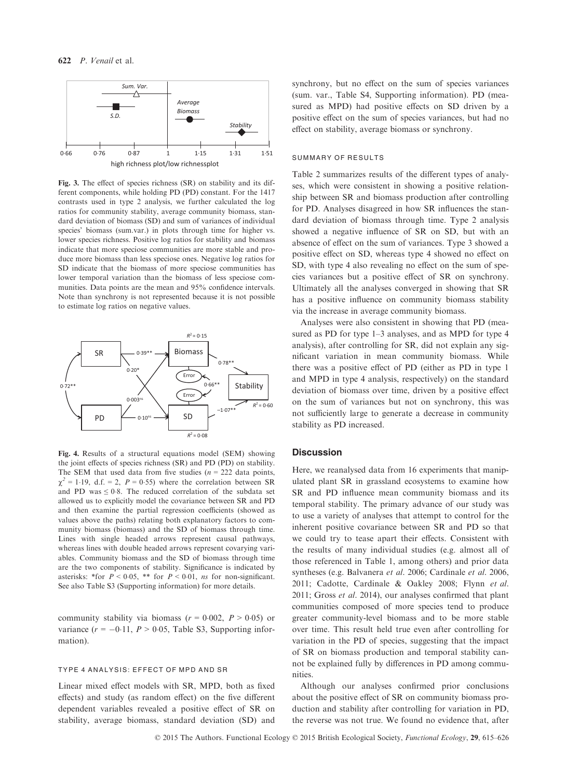

Fig. 3. The effect of species richness (SR) on stability and its different components, while holding PD (PD) constant. For the 1417 contrasts used in type 2 analysis, we further calculated the log ratios for community stability, average community biomass, standard deviation of biomass (SD) and sum of variances of individual species' biomass (sum.var.) in plots through time for higher vs. lower species richness. Positive log ratios for stability and biomass indicate that more speciose communities are more stable and produce more biomass than less speciose ones. Negative log ratios for SD indicate that the biomass of more speciose communities has lower temporal variation than the biomass of less speciose communities. Data points are the mean and 95% confidence intervals. Note than synchrony is not represented because it is not possible to estimate log ratios on negative values.



Fig. 4. Results of a structural equations model (SEM) showing the joint effects of species richness (SR) and PD (PD) on stability. The SEM that used data from five studies  $(n = 222)$  data points,  $\chi^2 = 1.19$ , d.f. = 2, P = 0.55) where the correlation between SR and PD was  $\leq 0.8$ . The reduced correlation of the subdata set allowed us to explicitly model the covariance between SR and PD and then examine the partial regression coefficients (showed as values above the paths) relating both explanatory factors to community biomass (biomass) and the SD of biomass through time. Lines with single headed arrows represent causal pathways, whereas lines with double headed arrows represent covarying variables. Community biomass and the SD of biomass through time are the two components of stability. Significance is indicated by asterisks: \*for  $P < 0.05$ , \*\* for  $P < 0.01$ , ns for non-significant. See also Table S3 (Supporting information) for more details.

community stability via biomass ( $r = 0.002$ ,  $P > 0.05$ ) or variance  $(r = -0.11, P > 0.05,$  Table S3, Supporting information).

#### TYPE 4 ANALYSIS: EFFECT OF MPD AND SR

Linear mixed effect models with SR, MPD, both as fixed effects) and study (as random effect) on the five different dependent variables revealed a positive effect of SR on stability, average biomass, standard deviation (SD) and synchrony, but no effect on the sum of species variances (sum. var., Table S4, Supporting information). PD (measured as MPD) had positive effects on SD driven by a positive effect on the sum of species variances, but had no effect on stability, average biomass or synchrony.

#### SUMMARY OF RESULTS

Table 2 summarizes results of the different types of analyses, which were consistent in showing a positive relationship between SR and biomass production after controlling for PD. Analyses disagreed in how SR influences the standard deviation of biomass through time. Type 2 analysis showed a negative influence of SR on SD, but with an absence of effect on the sum of variances. Type 3 showed a positive effect on SD, whereas type 4 showed no effect on SD, with type 4 also revealing no effect on the sum of species variances but a positive effect of SR on synchrony. Ultimately all the analyses converged in showing that SR has a positive influence on community biomass stability via the increase in average community biomass.

Analyses were also consistent in showing that PD (measured as PD for type 1–3 analyses, and as MPD for type 4 analysis), after controlling for SR, did not explain any significant variation in mean community biomass. While there was a positive effect of PD (either as PD in type 1 and MPD in type 4 analysis, respectively) on the standard deviation of biomass over time, driven by a positive effect on the sum of variances but not on synchrony, this was not sufficiently large to generate a decrease in community stability as PD increased.

## **Discussion**

Here, we reanalysed data from 16 experiments that manipulated plant SR in grassland ecosystems to examine how SR and PD influence mean community biomass and its temporal stability. The primary advance of our study was to use a variety of analyses that attempt to control for the inherent positive covariance between SR and PD so that we could try to tease apart their effects. Consistent with the results of many individual studies (e.g. almost all of those referenced in Table 1, among others) and prior data syntheses (e.g. Balvanera et al. 2006; Cardinale et al. 2006, 2011; Cadotte, Cardinale & Oakley 2008; Flynn et al. 2011; Gross et al. 2014), our analyses confirmed that plant communities composed of more species tend to produce greater community-level biomass and to be more stable over time. This result held true even after controlling for variation in the PD of species, suggesting that the impact of SR on biomass production and temporal stability cannot be explained fully by differences in PD among communities.

Although our analyses confirmed prior conclusions about the positive effect of SR on community biomass production and stability after controlling for variation in PD, the reverse was not true. We found no evidence that, after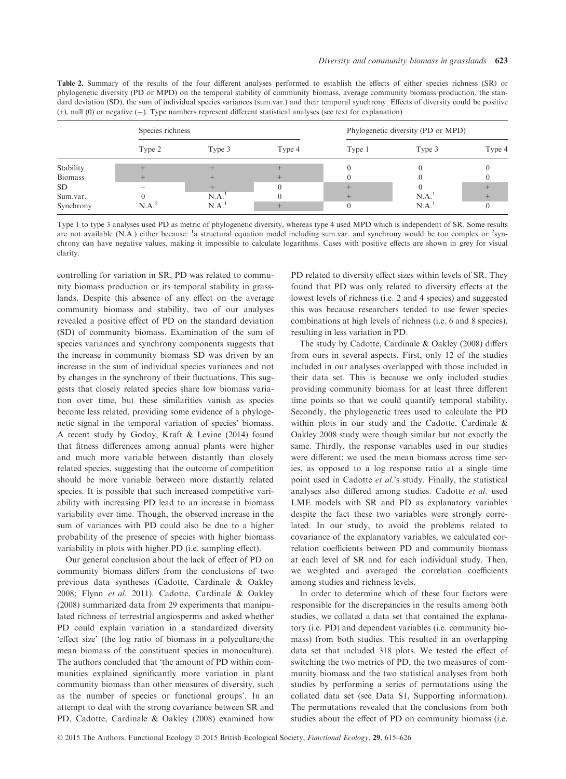| <b>Table 2.</b> Summary of the results of the four different analyses performed to establish the effects of either species richness (SR) or  |
|----------------------------------------------------------------------------------------------------------------------------------------------|
| phylogenetic diversity (PD or MPD) on the temporal stability of community biomass, average community biomass production, the stan-           |
| dard deviation (SD), the sum of individual species variances (sum.var.) and their temporal synchrony. Effects of diversity could be positive |
| $(+)$ , null $(0)$ or negative $(-)$ . Type numbers represent different statistical analyses (see text for explanation)                      |
|                                                                                                                                              |

|                | Species richness  |                   |        | Phylogenetic diversity (PD or MPD) |                     |        |
|----------------|-------------------|-------------------|--------|------------------------------------|---------------------|--------|
|                | Type 2            | Type 3            | Type 4 | Type 1                             | Type 3              | Type 4 |
| Stability      |                   |                   |        |                                    |                     |        |
| <b>Biomass</b> |                   |                   |        |                                    |                     |        |
| <b>SD</b>      |                   |                   |        |                                    |                     |        |
| Sum.var.       |                   | N.A. <sup>1</sup> |        |                                    | $N.A.$ <sup>1</sup> |        |
| Synchrony      | N.A. <sup>2</sup> | N.A. <sup>1</sup> |        |                                    | N.A.                |        |

Type 1 to type 3 analyses used PD as metric of phylogenetic diversity, whereas type 4 used MPD which is independent of SR. Some results are not available (N.A.) either because: <sup>1</sup>a structural equation model including sum.var. and synchrony would be too complex or <sup>2</sup>synchrony can have negative values, making it impossible to calculate logarithms. Cases with positive effects are shown in grey for visual clarity.

controlling for variation in SR, PD was related to community biomass production or its temporal stability in grasslands. Despite this absence of any effect on the average community biomass and stability, two of our analyses revealed a positive effect of PD on the standard deviation (SD) of community biomass. Examination of the sum of species variances and synchrony components suggests that the increase in community biomass SD was driven by an increase in the sum of individual species variances and not by changes in the synchrony of their fluctuations. This suggests that closely related species share low biomass variation over time, but these similarities vanish as species become less related, providing some evidence of a phylogenetic signal in the temporal variation of species' biomass. A recent study by Godoy, Kraft & Levine (2014) found that fitness differences among annual plants were higher and much more variable between distantly than closely related species, suggesting that the outcome of competition should be more variable between more distantly related species. It is possible that such increased competitive variability with increasing PD lead to an increase in biomass variability over time. Though, the observed increase in the sum of variances with PD could also be due to a higher probability of the presence of species with higher biomass variability in plots with higher PD (i.e. sampling effect).

Our general conclusion about the lack of effect of PD on community biomass differs from the conclusions of two previous data syntheses (Cadotte, Cardinale & Oakley 2008; Flynn et al. 2011). Cadotte, Cardinale & Oakley (2008) summarized data from 29 experiments that manipulated richness of terrestrial angiosperms and asked whether PD could explain variation in a standardized diversity 'effect size' (the log ratio of biomass in a polyculture/the mean biomass of the constituent species in monoculture). The authors concluded that 'the amount of PD within communities explained significantly more variation in plant community biomass than other measures of diversity, such as the number of species or functional groups'. In an attempt to deal with the strong covariance between SR and PD, Cadotte, Cardinale & Oakley (2008) examined how

PD related to diversity effect sizes within levels of SR. They found that PD was only related to diversity effects at the lowest levels of richness (i.e. 2 and 4 species) and suggested this was because researchers tended to use fewer species combinations at high levels of richness (i.e. 6 and 8 species), resulting in less variation in PD.

The study by Cadotte, Cardinale & Oakley (2008) differs from ours in several aspects. First, only 12 of the studies included in our analyses overlapped with those included in their data set. This is because we only included studies providing community biomass for at least three different time points so that we could quantify temporal stability. Secondly, the phylogenetic trees used to calculate the PD within plots in our study and the Cadotte, Cardinale & Oakley 2008 study were though similar but not exactly the same. Thirdly, the response variables used in our studies were different; we used the mean biomass across time series, as opposed to a log response ratio at a single time point used in Cadotte et al.'s study. Finally, the statistical analyses also differed among studies. Cadotte et al. used LME models with SR and PD as explanatory variables despite the fact these two variables were strongly correlated. In our study, to avoid the problems related to covariance of the explanatory variables, we calculated correlation coefficients between PD and community biomass at each level of SR and for each individual study. Then, we weighted and averaged the correlation coefficients among studies and richness levels.

In order to determine which of these four factors were responsible for the discrepancies in the results among both studies, we collated a data set that contained the explanatory (i.e. PD) and dependent variables (i.e. community biomass) from both studies. This resulted in an overlapping data set that included 318 plots. We tested the effect of switching the two metrics of PD, the two measures of community biomass and the two statistical analyses from both studies by performing a series of permutations using the collated data set (see Data S1, Supporting information). The permutations revealed that the conclusions from both studies about the effect of PD on community biomass (i.e.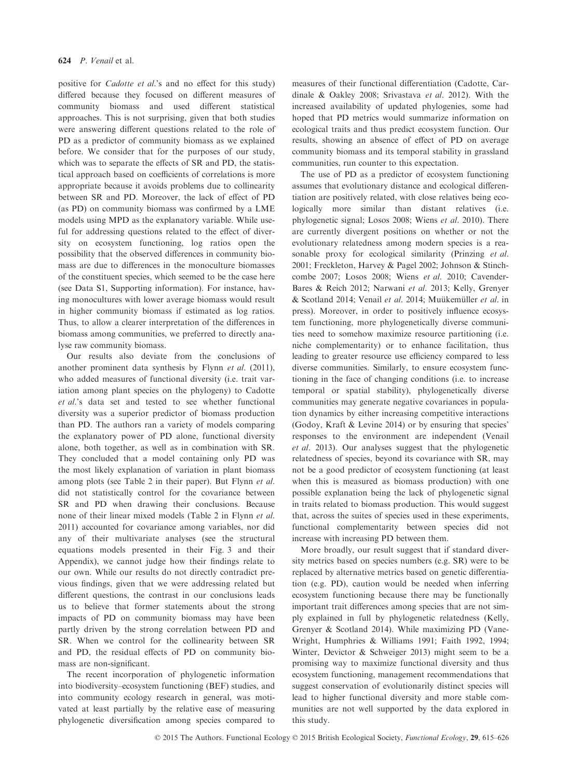positive for Cadotte et al.'s and no effect for this study) differed because they focused on different measures of community biomass and used different statistical approaches. This is not surprising, given that both studies were answering different questions related to the role of PD as a predictor of community biomass as we explained before. We consider that for the purposes of our study, which was to separate the effects of SR and PD, the statistical approach based on coefficients of correlations is more appropriate because it avoids problems due to collinearity between SR and PD. Moreover, the lack of effect of PD (as PD) on community biomass was confirmed by a LME models using MPD as the explanatory variable. While useful for addressing questions related to the effect of diversity on ecosystem functioning, log ratios open the possibility that the observed differences in community biomass are due to differences in the monoculture biomasses of the constituent species, which seemed to be the case here (see Data S1, Supporting information). For instance, having monocultures with lower average biomass would result in higher community biomass if estimated as log ratios. Thus, to allow a clearer interpretation of the differences in biomass among communities, we preferred to directly analyse raw community biomass.

Our results also deviate from the conclusions of another prominent data synthesis by Flynn et al. (2011), who added measures of functional diversity (i.e. trait variation among plant species on the phylogeny) to Cadotte et al.'s data set and tested to see whether functional diversity was a superior predictor of biomass production than PD. The authors ran a variety of models comparing the explanatory power of PD alone, functional diversity alone, both together, as well as in combination with SR. They concluded that a model containing only PD was the most likely explanation of variation in plant biomass among plots (see Table 2 in their paper). But Flynn et al. did not statistically control for the covariance between SR and PD when drawing their conclusions. Because none of their linear mixed models (Table 2 in Flynn et al. 2011) accounted for covariance among variables, nor did any of their multivariate analyses (see the structural equations models presented in their Fig. 3 and their Appendix), we cannot judge how their findings relate to our own. While our results do not directly contradict previous findings, given that we were addressing related but different questions, the contrast in our conclusions leads us to believe that former statements about the strong impacts of PD on community biomass may have been partly driven by the strong correlation between PD and SR. When we control for the collinearity between SR and PD, the residual effects of PD on community biomass are non-significant.

The recent incorporation of phylogenetic information into biodiversity–ecosystem functioning (BEF) studies, and into community ecology research in general, was motivated at least partially by the relative ease of measuring phylogenetic diversification among species compared to measures of their functional differentiation (Cadotte, Cardinale & Oakley 2008; Srivastava et al. 2012). With the increased availability of updated phylogenies, some had hoped that PD metrics would summarize information on ecological traits and thus predict ecosystem function. Our results, showing an absence of effect of PD on average community biomass and its temporal stability in grassland communities, run counter to this expectation.

The use of PD as a predictor of ecosystem functioning assumes that evolutionary distance and ecological differentiation are positively related, with close relatives being ecologically more similar than distant relatives (i.e. phylogenetic signal; Losos 2008; Wiens et al. 2010). There are currently divergent positions on whether or not the evolutionary relatedness among modern species is a reasonable proxy for ecological similarity (Prinzing et al. 2001; Freckleton, Harvey & Pagel 2002; Johnson & Stinchcombe 2007; Losos 2008; Wiens et al. 2010; Cavender-Bares & Reich 2012; Narwani et al. 2013; Kelly, Grenyer & Scotland 2014; Venail et al. 2014; Muükemüller et al. in press). Moreover, in order to positively influence ecosystem functioning, more phylogenetically diverse communities need to somehow maximize resource partitioning (i.e. niche complementarity) or to enhance facilitation, thus leading to greater resource use efficiency compared to less diverse communities. Similarly, to ensure ecosystem functioning in the face of changing conditions (i.e. to increase temporal or spatial stability), phylogenetically diverse communities may generate negative covariances in population dynamics by either increasing competitive interactions (Godoy, Kraft & Levine 2014) or by ensuring that species' responses to the environment are independent (Venail et al. 2013). Our analyses suggest that the phylogenetic relatedness of species, beyond its covariance with SR, may not be a good predictor of ecosystem functioning (at least when this is measured as biomass production) with one possible explanation being the lack of phylogenetic signal in traits related to biomass production. This would suggest that, across the suites of species used in these experiments, functional complementarity between species did not increase with increasing PD between them.

More broadly, our result suggest that if standard diversity metrics based on species numbers (e.g. SR) were to be replaced by alternative metrics based on genetic differentiation (e.g. PD), caution would be needed when inferring ecosystem functioning because there may be functionally important trait differences among species that are not simply explained in full by phylogenetic relatedness (Kelly, Grenyer & Scotland 2014). While maximizing PD (Vane-Wright, Humphries & Williams 1991; Faith 1992, 1994; Winter, Devictor & Schweiger 2013) might seem to be a promising way to maximize functional diversity and thus ecosystem functioning, management recommendations that suggest conservation of evolutionarily distinct species will lead to higher functional diversity and more stable communities are not well supported by the data explored in this study.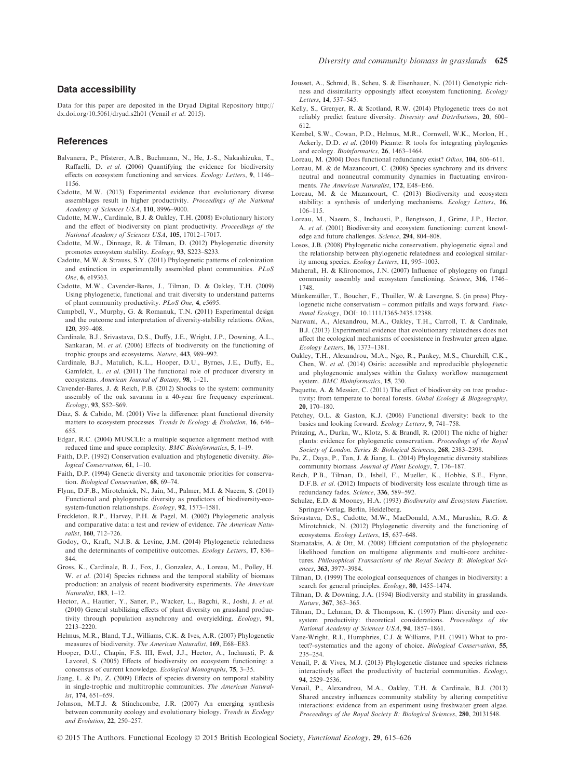#### Data accessibility

Data for this paper are deposited in the Dryad Digital Repository [http://](http://dx.doi.org/10.5061/dryad.s2h01) [dx.doi.org/10.5061/dryad.s2h01](http://dx.doi.org/10.5061/dryad.s2h01) (Venail et al. 2015).

#### **References**

- Balvanera, P., Pfisterer, A.B., Buchmann, N., He, J.-S., Nakashizuka, T., Raffaelli, D. et al. (2006) Quantifying the evidence for biodiversity effects on ecosystem functioning and services. Ecology Letters, 9, 1146– 1156.
- Cadotte, M.W. (2013) Experimental evidence that evolutionary diverse assemblages result in higher productivity. Proceedings of the National Academy of Sciences USA, 110, 8996–9000.
- Cadotte, M.W., Cardinale, B.J. & Oakley, T.H. (2008) Evolutionary history and the effect of biodiversity on plant productivity. Proceedings of the National Academy of Sciences USA, 105, 17012–17017.
- Cadotte, M.W., Dinnage, R. & Tilman, D. (2012) Phylogenetic diversity promotes ecosystem stability. Ecology, 93, S223–S233.
- Cadotte, M.W. & Strauss, S.Y. (2011) Phylogenetic patterns of colonization and extinction in experimentally assembled plant communities. PLoS
- One, 6, e19363.<br>Cadotte, M.W., Cavender-Bares, J., Tilman, D. & Oakley, T.H. (2009) Using phylogenetic, functional and trait diversity to understand patterns of plant community productivity. PLoS One, 4, e5695.
- Campbell, V., Murphy, G. & Romanuk, T.N. (2011) Experimental design and the outcome and interpretation of diversity-stability relations. Oikos,
- 120, 399–408. Cardinale, B.J., Srivastava, D.S., Duffy, J.E., Wright, J.P., Downing, A.L., Sankaran, M. et al. (2006) Effects of biodiversity on the functioning of trophic groups and ecosystems. Nature, 443, 989–992.
- Cardinale, B.J., Matulich, K.L., Hooper, D.U., Byrnes, J.E., Duffy, E., Gamfeldt, L. et al. (2011) The functional role of producer diversity in ecosystems. American Journal of Botany, 98, 1–21.
- Cavender-Bares, J. & Reich, P.B. (2012) Shocks to the system: community assembly of the oak savanna in a 40-year fire frequency experiment.
- Ecology, 93, S52–S69. Diaz, S. & Cabido, M. (2001) Vive la difference: plant functional diversity matters to ecosystem processes. Trends in Ecology & Evolution, 16, 646– 655.
- Edgar, R.C. (2004) MUSCLE: a multiple sequence alignment method with reduced time and space complexity. BMC Bioinformatics, <sup>5</sup>, 1–19.
- Faith, D.P. (1992) Conservation evaluation and phylogenetic diversity. Biological Conservation, 61, 1–10.
- Faith, D.P. (1994) Genetic diversity and taxonomic priorities for conservation. Biological Conservation, 68, 69-74.
- Flynn, D.F.B., Mirotchnick, N., Jain, M., Palmer, M.I. & Naeem, S. (2011) Functional and phylogenetic diversity as predictors of biodiversity-ecosystem-function relationships. Ecology, 92, 1573–1581.
- Freckleton, R.P., Harvey, P.H. & Pagel, M. (2002) Phylogenetic analysis and comparative data: a test and review of evidence. The American Natu-
- ralist, 160, 712-726.<br>Godoy, O., Kraft, N.J.B. & Levine, J.M. (2014) Phylogenetic relatedness and the determinants of competitive outcomes. Ecology Letters, 17, 836– 844.
- Gross, K., Cardinale, B. J., Fox, J., Gonzalez, A., Loreau, M., Polley, H. W. et al. (2014) Species richness and the temporal stability of biomass production: an analysis of recent biodiversity experiments. The American Naturalist, 183, 1–12.
- Hector, A., Hautier, Y., Saner, P., Wacker, L., Bagchi, R., Joshi, J. et al. (2010) General stabilizing effects of plant diversity on grassland productivity through population asynchrony and overyielding. Ecology, 91, 2213–2220.
- Helmus, M.R., Bland, T.J., Williams, C.K. & Ives, A.R. (2007) Phylogenetic measures of biodiversity. The American Naturalist, 169, E68–E83.
- Hooper, D.U., Chapin, F.S. III, Ewel, J.J., Hector, A., Inchausti, P. & Lavorel, S. (2005) Effects of biodiversity on ecosystem functioning: a consensus of current knowledge. Ecological Monographs, 75, 3–35.
- Jiang, L. & Pu, Z. (2009) Effects of species diversity on temporal stability in single-trophic and multitrophic communities. The American Naturalist, 174, 651-659.
- Johnson, M.T.J. & Stinchcombe, J.R. (2007) An emerging synthesis between community ecology and evolutionary biology. Trends in Ecology and Evolution, 22, 250–257.
- Jousset, A., Schmid, B., Scheu, S. & Eisenhauer, N. (2011) Genotypic richness and dissimilarity opposingly affect ecosystem functioning. Ecology
- Letters, 14, 537–545. Kelly, S., Grenyer, R. & Scotland, R.W. (2014) Phylogenetic trees do not reliably predict feature diversity. Diversity and Distributions, 20, 600– 612.
- Kembel, S.W., Cowan, P.D., Helmus, M.R., Cornwell, W.K., Morlon, H., Ackerly, D.D. *et al.* (2010) Picante: R tools for integrating phylogenies and ecology. *Bioinformatics*. **26**. 1463–1464. and ecology. *Bioinformatics*, **26**, 1463–1464.<br>reau M. (2004) Does functional redundanc
- Loreau, M. (2004) Does functional redundancy exist? *Oikos*, **104**, 606–611.<br>Loreau, M. & de Mazancourt, C. (2008) Species synchrony and its driver
- Loreau, M. & de Mazancourt, C. (2008) Species synchrony and its drivers: neutral and nonneutral community dynamics in fluctuating environ-<br>ments. The American Naturalist. 172, F48-F66.
- ments. *The American Naturalist*, **172**, E48–E66.<br>Loreau, M. & de Mazancourt, C. (2013) Biodiversity and ecosystem stability: a synthesis of underlying mechanisms. Ecology Letters, 16, 106–115.
- Loreau, M., Naeem, S., Inchausti, P., Bengtsson, J., Grime, J.P., Hector, A. et al. (2001) Biodiversity and ecosystem functioning: current knowledge and future challenges. Science, 294, 804–808.
- Losos, J.B. (2008) Phylogenetic niche conservatism, phylogenetic signal and the relationship between phylogenetic relatedness and ecological similarity among species. Ecology Letters, 11, 995–1003.
- Maherali, H. & Klironomos, J.N. (2007) Influence of phylogeny on fungal community assembly and ecosystem functioning. Science, 316, 1746– 1748.
- Münkemüller, T., Boucher, F., Thuiller, W. & Lavergne, S. (in press) Phzylogenetic niche conservatism – common pitfalls and ways forward. Functional Ecology, DOI: [10.1111/1365-2435.12388](http://dx.doi.org/10.1111/1365-2435.12388).
- Narwani, A., Alexandrou, M.A., Oakley, T.H., Carroll, T. & Cardinale, B.J. (2013) Experimental evidence that evolutionary relatedness does not affect the ecological mechanisms of coexistence in freshwater green algae. Ecology Letters, 16, 1373–1381.
- Oakley, T.H., Alexandrou, M.A., Ngo, R., Pankey, M.S., Churchill, C.K., Chen, W. et al. (2014) Osiris: accessible and reproducible phylogenetic and phylogenomic analyses within the Galaxy workflow management
- system. *BMC Bioinformatics*, **15**, 230.<br>Paquette, A. & Messier, C. (2011) The effect of biodiversity on tree productivity: from temperate to boreal forests. Global Ecology & Biogeography, 20, 170–180.
- Petchey, O.L. & Gaston, K.J. (2006) Functional diversity: back to the basics and looking forward. Ecology Letters, 9, 741–758.
- Prinzing, A., Durka, W., Klotz, S. & Brandl, R. (2001) The niche of higher plants: evidence for phylogenetic conservatism. Proceedings of the Royal Society of London. Series B: Biological Sciences, 268, 2383–2398.
- Pu, Z., Daya, P., Tan, J. & Jiang, L. (2014) Phylogenetic diversity stabilizes community biomass. Journal of Plant Ecology, 7, 176-187.
- Reich, P.B., Tilman, D., Isbell, F., Mueller, K., Hobbie, S.E., Flynn, D.F.B. et al. (2012) Impacts of biodiversity loss escalate through time as redundancy fades. Science, 336, 589–592.
- Schulze, E.D. & Mooney, H.A. (1993) Biodiversity and Ecosystem Function. Springer-Verlag, Berlin, Heidelberg.
- Srivastava, D.S., Cadotte, M.W., MacDonald, A.M., Marushia, R.G. & Mirotchnick, N. (2012) Phylogenetic diversity and the functioning of ecosystems. Ecology Letters, 15, 637–648.
- Stamatakis, A. & Ott, M. (2008) Efficient computation of the phylogenetic likelihood function on multigene alignments and multi-core architectures. Philosophical Transactions of the Royal Society B: Biological Sciences, 363, 3977–3984.
- Tilman, D. (1999) The ecological consequences of changes in biodiversity: a search for general principles. Ecology, 80, 1455-1474.
- Tilman, D. & Downing, J.A. (1994) Biodiversity and stability in grasslands.
- Nature, 367, 363–365.<br>Tilman, D., Lehman, D. & Thompson, K. (1997) Plant diversity and ecosystem productivity: theoretical considerations. Proceedings of the National Academy of Sciences USA, 94, 1857–1861.
- Vane-Wright, R.I., Humphries, C.J. & Williams, P.H. (1991) What to protect?–systematics and the agony of choice. Biological Conservation, 55, 235–254.
- Venail, P. & Vives, M.J. (2013) Phylogenetic distance and species richness interactively affect the productivity of bacterial communities. Ecology, 94, 2529–2536.
- Venail, P., Alexandrou, M.A., Oakley, T.H. & Cardinale, B.J. (2013) Shared ancestry influences community stability by altering competitive interactions: evidence from an experiment using freshwater green algae. Proceedings of the Royal Society B: Biological Sciences, 280, 20131548.